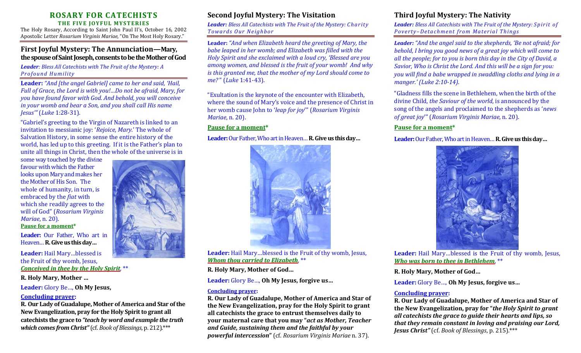# **ROSARY FOR CATECHISTS THE FIVE JOYFUL MYSTERIES**

The Holy Rosary, According to Saint John Paul II's, October 16, 2002 Apostolic Letter *Rosarium Virginis Mariae*, "On The Most Holy Rosary."

# **First Joyful Mystery: The Annunciation—Mary, the spouse of Saint Joseph, consents to be the Mother of God**

*Leader: Bless All Catechists with The Fruit of the Mystery: A Profound H umility*

**Leader:** *"And [the angel Gabriel] came to her and said, 'Hail, Full of Grace, the Lord is with you!…Do not be afraid, Mary, for you have found favor with God. And behold, you will conceive in your womb and bear a Son, and you shall call His name Jesus'"* (*Luke* 1:28-31).

"Gabriel's greeting to the Virgin of Nazareth is linked to an invitation to messianic joy: '*Rejoice, Mary*.' The whole of Salvation History, in some sense the entire history of the world, has led up to this greeting. If it is the Father's plan to unite all things in Christ, then the whole of the universe is in

some way touched by the divine favour with which the Father looks upon Mary and makes her the Mother of His Son. The whole of humanity, in turn, is embraced by the *fiat* with which she readily agrees to the will of God" (*Rosarium Virginis Mariae*, n. 20). **Pause for a moment\***

**Leader:** Our Father, Who art in Heaven…**R.Give us this day…**

**Leader:** Hail Mary…blessed is the Fruit of thy womb, Jesus, *Conceived in thee by the Holy Spirit,* \*\*

# **R. Holy Mary, Mother …**

**Leader:** Glory Be…, **Oh My Jesus,**

## **Concluding prayer:**

**R. Our Lady of Guadalupe, Mother of America and Star of the New Evangelization, pray for the Holy Spirit to grant all catechists the grace to** *"teach by word and example the truth which comes from Christ"*(cf. *Book of Blessings*, p. 212).\*\*\*



# **Second Joyful Mystery: The Visitation**

*Leader: Bless All Catechists with The Fruit of the Mystery: Charity Towar ds O ur N eighbor*

**Leader:** *"And when Elizabeth heard the greeting of Mary, the babe leaped in her womb; and Elizabeth was filled with the Holy Spirit and she exclaimed with a loud cry, 'Blessed are you among women, and blessed is the fruit of your womb! And why is this granted me, that the mother of my Lord should come to me?* " (*Luke* 1:41-43).

"Exultation is the keynote of the encounter with Elizabeth, where the sound of Mary's voice and the presence of Christ in her womb cause John to '*leap for joy*'" (*Rosarium Virginis Mariae*, n. 20).

## **Pause for a moment\***

**Leader:**Our Father, Who art in Heaven…**R. Give us this day…**



**Leader:** Hail Mary…blessed is the Fruit of thy womb, Jesus, *Whom thou carried to Elizabeth,* \*\*

**R. Holy Mary, Mother of God…** 

**Leader:** Glory Be…, **Oh My Jesus, forgive us…**

# **Concluding prayer:**

**R. Our Lady of Guadalupe, Mother of America and Star of the New Evangelization, pray for the Holy Spirit to grant all catechists the grace to entrust themselves daily to your maternal care that you may "***act as Mother, Teacher and Guide, sustaining them and the faithful by your powerful intercession***"** (cf. *Rosarium Virginis Mariae* n. 37).

# **Third Joyful Mystery: The Nativity**

*Leader: Bless All Catechists with The Fruit of the Mystery: Sp ir it of Poverty-Detachment from Material Things* 

*Leader: "And the angel said to the shepherds, 'Be not afraid; for behold, I bring you good news of a great joy which will come to all the people; for to you is born this day in the City of David, a Savior, Who is Christ the Lord. And this will be a sign for you: you will find a babe wrapped in swaddling cloths and lying in a manger.' (Luke 2:10-14).*

"Gladness fills the scene in Bethlehem, when the birth of the divine Child, *the Saviour of the world*, is announced by the song of the angels and proclaimed to the shepherds as '*news of great joy*'" (*Rosarium Virginis Mariae*, n. 20).

# **Pause for a moment\***

**Leader:**Our Father, Who art in Heaven…**R. Give us this day…**



**Leader:** Hail Mary…blessed is the Fruit of thy womb, Jesus, *Who was born to thee in Bethlehem,* \*\*

**R. Holy Mary, Mother of God…** 

**Leader:** Glory Be…, **Oh My Jesus, forgive us…**

# **Concluding prayer:**

**R. Our Lady of Guadalupe, Mother of America and Star of the New Evangelization, pray for "***the Holy Spirit to grant all catechists the grace to guide their hearts and lips, so that they remain constant in loving and praising our Lord, Jesus Christ"* (cf. *Book of Blessings*, p. 215).\*\*\*